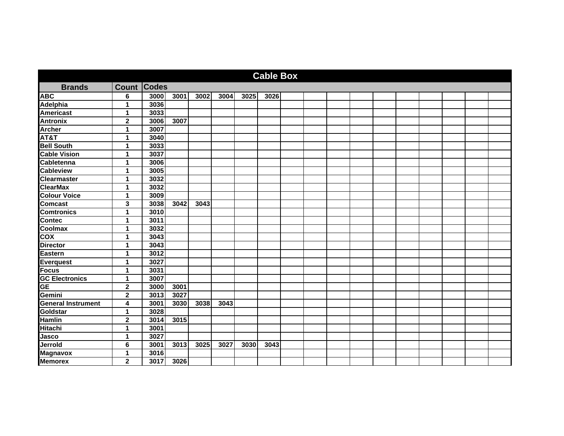|                           |                         |      |      |      |      |      | <b>Cable Box</b> |  |  |  |  |  |
|---------------------------|-------------------------|------|------|------|------|------|------------------|--|--|--|--|--|
| <b>Brands</b>             | <b>Count Codes</b>      |      |      |      |      |      |                  |  |  |  |  |  |
| ABC                       | 6                       | 3000 | 3001 | 3002 | 3004 | 3025 | 3026             |  |  |  |  |  |
| Adelphia                  | $\blacktriangleleft$    | 3036 |      |      |      |      |                  |  |  |  |  |  |
| <b>Americast</b>          | 1                       | 3033 |      |      |      |      |                  |  |  |  |  |  |
| <b>Antronix</b>           | $\mathbf 2$             | 3006 | 3007 |      |      |      |                  |  |  |  |  |  |
| <b>Archer</b>             | 1                       | 3007 |      |      |      |      |                  |  |  |  |  |  |
| AT&T                      | 1                       | 3040 |      |      |      |      |                  |  |  |  |  |  |
| <b>Bell South</b>         | 1                       | 3033 |      |      |      |      |                  |  |  |  |  |  |
| <b>Cable Vision</b>       | 1                       | 3037 |      |      |      |      |                  |  |  |  |  |  |
| <b>Cabletenna</b>         | 1                       | 3006 |      |      |      |      |                  |  |  |  |  |  |
| <b>Cableview</b>          | 1                       | 3005 |      |      |      |      |                  |  |  |  |  |  |
| <b>Clearmaster</b>        | 1                       | 3032 |      |      |      |      |                  |  |  |  |  |  |
| <b>ClearMax</b>           | 1                       | 3032 |      |      |      |      |                  |  |  |  |  |  |
| <b>Colour Voice</b>       | 1                       | 3009 |      |      |      |      |                  |  |  |  |  |  |
| <b>Comcast</b>            | $\mathbf{3}$            | 3038 | 3042 | 3043 |      |      |                  |  |  |  |  |  |
| <b>Comtronics</b>         | 1                       | 3010 |      |      |      |      |                  |  |  |  |  |  |
| <b>Contec</b>             | 1                       | 3011 |      |      |      |      |                  |  |  |  |  |  |
| Coolmax                   | 1                       | 3032 |      |      |      |      |                  |  |  |  |  |  |
| $\overline{\text{cov}}$   | 1                       | 3043 |      |      |      |      |                  |  |  |  |  |  |
| <b>Director</b>           | 1                       | 3043 |      |      |      |      |                  |  |  |  |  |  |
| Eastern                   | 1                       | 3012 |      |      |      |      |                  |  |  |  |  |  |
| Everquest                 | 1                       | 3027 |      |      |      |      |                  |  |  |  |  |  |
| <b>Focus</b>              | 1                       | 3031 |      |      |      |      |                  |  |  |  |  |  |
| <b>GC Electronics</b>     | 1                       | 3007 |      |      |      |      |                  |  |  |  |  |  |
| $\overline{\mathsf{GE}}$  | $\overline{\mathbf{2}}$ | 3000 | 3001 |      |      |      |                  |  |  |  |  |  |
| Gemini                    | $\mathbf 2$             | 3013 | 3027 |      |      |      |                  |  |  |  |  |  |
| <b>General Instrument</b> | 4                       | 3001 | 3030 | 3038 | 3043 |      |                  |  |  |  |  |  |
| Goldstar                  | 1                       | 3028 |      |      |      |      |                  |  |  |  |  |  |
| <b>Hamlin</b>             | $\overline{\mathbf{2}}$ | 3014 | 3015 |      |      |      |                  |  |  |  |  |  |
| <b>Hitachi</b>            | 1                       | 3001 |      |      |      |      |                  |  |  |  |  |  |
| Jasco                     | 1                       | 3027 |      |      |      |      |                  |  |  |  |  |  |
| Jerrold                   | $6\phantom{1}6$         | 3001 | 3013 | 3025 | 3027 | 3030 | 3043             |  |  |  |  |  |
| <b>Magnavox</b>           | 1                       | 3016 |      |      |      |      |                  |  |  |  |  |  |
| <b>Memorex</b>            | $\mathbf 2$             | 3017 | 3026 |      |      |      |                  |  |  |  |  |  |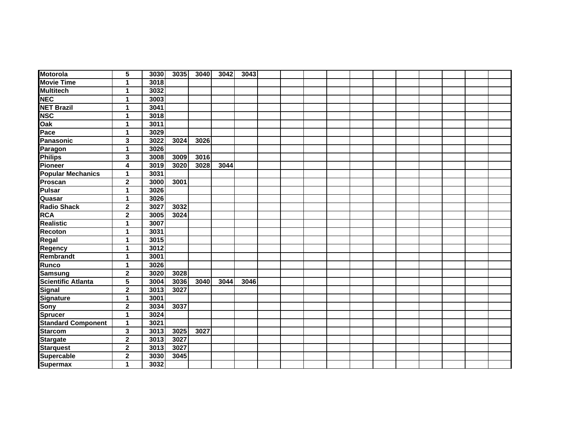| <b>Motorola</b>           | 5                       | 3030 | 3035 | 3040 | 3042 | 3043 |  |  |  |  |  |  |
|---------------------------|-------------------------|------|------|------|------|------|--|--|--|--|--|--|
| <b>Movie Time</b>         | 1                       | 3018 |      |      |      |      |  |  |  |  |  |  |
| <b>Multitech</b>          | 1                       | 3032 |      |      |      |      |  |  |  |  |  |  |
| <b>NEC</b>                | 1                       | 3003 |      |      |      |      |  |  |  |  |  |  |
| <b>NET Brazil</b>         | 1                       | 3041 |      |      |      |      |  |  |  |  |  |  |
| <b>NSC</b>                | 1                       | 3018 |      |      |      |      |  |  |  |  |  |  |
| Oak                       | 1                       | 3011 |      |      |      |      |  |  |  |  |  |  |
| Pace                      | 1                       | 3029 |      |      |      |      |  |  |  |  |  |  |
| <b>Panasonic</b>          | 3                       | 3022 | 3024 | 3026 |      |      |  |  |  |  |  |  |
| Paragon                   | 1                       | 3026 |      |      |      |      |  |  |  |  |  |  |
| <b>Philips</b>            | 3                       | 3008 | 3009 | 3016 |      |      |  |  |  |  |  |  |
| Pioneer                   | 4                       | 3019 | 3020 | 3028 | 3044 |      |  |  |  |  |  |  |
| <b>Popular Mechanics</b>  | 1                       | 3031 |      |      |      |      |  |  |  |  |  |  |
| Proscan                   | $\mathbf 2$             | 3000 | 3001 |      |      |      |  |  |  |  |  |  |
| <b>Pulsar</b>             | 1                       | 3026 |      |      |      |      |  |  |  |  |  |  |
| Quasar                    | 1                       | 3026 |      |      |      |      |  |  |  |  |  |  |
| <b>Radio Shack</b>        | $\mathbf{2}$            | 3027 | 3032 |      |      |      |  |  |  |  |  |  |
| <b>RCA</b>                | $\overline{\mathbf{2}}$ | 3005 | 3024 |      |      |      |  |  |  |  |  |  |
| <b>Realistic</b>          | 1                       | 3007 |      |      |      |      |  |  |  |  |  |  |
| Recoton                   | 1                       | 3031 |      |      |      |      |  |  |  |  |  |  |
| Regal                     | 1                       | 3015 |      |      |      |      |  |  |  |  |  |  |
| Regency                   | 1                       | 3012 |      |      |      |      |  |  |  |  |  |  |
| Rembrandt                 | 1                       | 3001 |      |      |      |      |  |  |  |  |  |  |
| Runco                     | 1                       | 3026 |      |      |      |      |  |  |  |  |  |  |
| <b>Samsung</b>            | 2                       | 3020 | 3028 |      |      |      |  |  |  |  |  |  |
| <b>Scientific Atlanta</b> | 5                       | 3004 | 3036 | 3040 | 3044 | 3046 |  |  |  |  |  |  |
| <b>Signal</b>             | $\overline{\mathbf{2}}$ | 3013 | 3027 |      |      |      |  |  |  |  |  |  |
| <b>Signature</b>          | 1                       | 3001 |      |      |      |      |  |  |  |  |  |  |
| Sony                      | $\overline{\mathbf{2}}$ | 3034 | 3037 |      |      |      |  |  |  |  |  |  |
| <b>Sprucer</b>            | 1                       | 3024 |      |      |      |      |  |  |  |  |  |  |
| <b>Standard Component</b> | 1                       | 3021 |      |      |      |      |  |  |  |  |  |  |
| <b>Starcom</b>            | 3                       | 3013 | 3025 | 3027 |      |      |  |  |  |  |  |  |
| <b>Stargate</b>           | $\mathbf 2$             | 3013 | 3027 |      |      |      |  |  |  |  |  |  |
| <b>Starquest</b>          | $\mathbf 2$             | 3013 | 3027 |      |      |      |  |  |  |  |  |  |
| Supercable                | $\mathbf 2$             | 3030 | 3045 |      |      |      |  |  |  |  |  |  |
| <b>Supermax</b>           | 1                       | 3032 |      |      |      |      |  |  |  |  |  |  |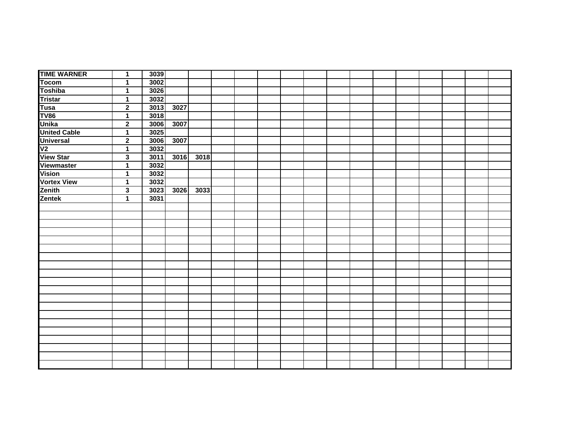| <b>TIME WARNER</b>                                                                                                                                           | $\mathbf 1$             | 3039 |        |      |  |  |  |  |  |  |  |
|--------------------------------------------------------------------------------------------------------------------------------------------------------------|-------------------------|------|--------|------|--|--|--|--|--|--|--|
| <b>Tocom</b>                                                                                                                                                 | $\mathbf{1}$            | 3002 |        |      |  |  |  |  |  |  |  |
| Tocom<br>Toshiba<br>Tristar<br>Tusa<br>TV86<br>Unika<br>Universal<br>Universal<br>V2<br>View Star<br>Viewmaster<br>Vision<br>Vortex View<br>Zenith<br>Zentak | $\mathbf 1$             | 3026 |        |      |  |  |  |  |  |  |  |
|                                                                                                                                                              | $\mathbf{1}$            | 3032 |        |      |  |  |  |  |  |  |  |
|                                                                                                                                                              | $\overline{2}$          | 3013 | 3027   |      |  |  |  |  |  |  |  |
|                                                                                                                                                              | 1                       | 3018 |        |      |  |  |  |  |  |  |  |
|                                                                                                                                                              | $\overline{2}$          | 3006 | 3007   |      |  |  |  |  |  |  |  |
|                                                                                                                                                              | $\overline{1}$          | 3025 |        |      |  |  |  |  |  |  |  |
|                                                                                                                                                              | $\overline{2}$          | 3006 | 3007   |      |  |  |  |  |  |  |  |
|                                                                                                                                                              | $\mathbf 1$             | 3032 |        |      |  |  |  |  |  |  |  |
|                                                                                                                                                              | $\overline{\mathbf{3}}$ | 3011 | $3016$ | 3018 |  |  |  |  |  |  |  |
|                                                                                                                                                              | $\overline{\mathbf{1}}$ | 3032 |        |      |  |  |  |  |  |  |  |
|                                                                                                                                                              | $\mathbf{1}$            | 3032 |        |      |  |  |  |  |  |  |  |
|                                                                                                                                                              | 1                       | 3032 |        |      |  |  |  |  |  |  |  |
|                                                                                                                                                              | $\overline{\mathbf{3}}$ | 3023 | 3026   | 3033 |  |  |  |  |  |  |  |
| Zentek                                                                                                                                                       | $\overline{1}$          | 3031 |        |      |  |  |  |  |  |  |  |
|                                                                                                                                                              |                         |      |        |      |  |  |  |  |  |  |  |
|                                                                                                                                                              |                         |      |        |      |  |  |  |  |  |  |  |
|                                                                                                                                                              |                         |      |        |      |  |  |  |  |  |  |  |
|                                                                                                                                                              |                         |      |        |      |  |  |  |  |  |  |  |
|                                                                                                                                                              |                         |      |        |      |  |  |  |  |  |  |  |
|                                                                                                                                                              |                         |      |        |      |  |  |  |  |  |  |  |
|                                                                                                                                                              |                         |      |        |      |  |  |  |  |  |  |  |
|                                                                                                                                                              |                         |      |        |      |  |  |  |  |  |  |  |
|                                                                                                                                                              |                         |      |        |      |  |  |  |  |  |  |  |
|                                                                                                                                                              |                         |      |        |      |  |  |  |  |  |  |  |
|                                                                                                                                                              |                         |      |        |      |  |  |  |  |  |  |  |
|                                                                                                                                                              |                         |      |        |      |  |  |  |  |  |  |  |
|                                                                                                                                                              |                         |      |        |      |  |  |  |  |  |  |  |
|                                                                                                                                                              |                         |      |        |      |  |  |  |  |  |  |  |
|                                                                                                                                                              |                         |      |        |      |  |  |  |  |  |  |  |
|                                                                                                                                                              |                         |      |        |      |  |  |  |  |  |  |  |
|                                                                                                                                                              |                         |      |        |      |  |  |  |  |  |  |  |
|                                                                                                                                                              |                         |      |        |      |  |  |  |  |  |  |  |
|                                                                                                                                                              |                         |      |        |      |  |  |  |  |  |  |  |
|                                                                                                                                                              |                         |      |        |      |  |  |  |  |  |  |  |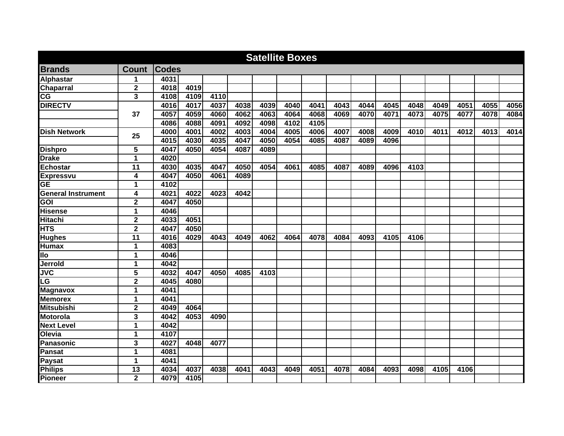|                           |                         |              |      |      |      |      | <b>Satellite Boxes</b> |      |      |      |      |      |      |      |      |      |
|---------------------------|-------------------------|--------------|------|------|------|------|------------------------|------|------|------|------|------|------|------|------|------|
| <b>Brands</b>             | <b>Count</b>            | <b>Codes</b> |      |      |      |      |                        |      |      |      |      |      |      |      |      |      |
| <b>Alphastar</b>          | 1                       | 4031         |      |      |      |      |                        |      |      |      |      |      |      |      |      |      |
| <b>Chaparral</b>          | $\mathbf 2$             | 4018         | 4019 |      |      |      |                        |      |      |      |      |      |      |      |      |      |
| $\overline{\text{CG}}$    | 3                       | 4108         | 4109 | 4110 |      |      |                        |      |      |      |      |      |      |      |      |      |
| <b>DIRECTV</b>            |                         | 4016         | 4017 | 4037 | 4038 | 4039 | 4040                   | 4041 | 4043 | 4044 | 4045 | 4048 | 4049 | 4051 | 4055 | 4056 |
|                           | 37                      | 4057         | 4059 | 4060 | 4062 | 4063 | 4064                   | 4068 | 4069 | 4070 | 4071 | 4073 | 4075 | 4077 | 4078 | 4084 |
|                           |                         | 4086         | 4088 | 4091 | 4092 | 4098 | 4102                   | 4105 |      |      |      |      |      |      |      |      |
| <b>Dish Network</b>       | 25                      | 4000         | 4001 | 4002 | 4003 | 4004 | 4005                   | 4006 | 4007 | 4008 | 4009 | 4010 | 4011 | 4012 | 4013 | 4014 |
|                           |                         | 4015         | 4030 | 4035 | 4047 | 4050 | 4054                   | 4085 | 4087 | 4089 | 4096 |      |      |      |      |      |
| <b>Dishpro</b>            | 5                       | 4047         | 4050 | 4054 | 4087 | 4089 |                        |      |      |      |      |      |      |      |      |      |
| <b>Drake</b>              | 1                       | 4020         |      |      |      |      |                        |      |      |      |      |      |      |      |      |      |
| <b>Echostar</b>           | 11                      | 4030         | 4035 | 4047 | 4050 | 4054 | 4061                   | 4085 | 4087 | 4089 | 4096 | 4103 |      |      |      |      |
| <b>Expressvu</b>          | 4                       | 4047         | 4050 | 4061 | 4089 |      |                        |      |      |      |      |      |      |      |      |      |
| <b>GE</b>                 | 1                       | 4102         |      |      |      |      |                        |      |      |      |      |      |      |      |      |      |
| <b>General Instrument</b> | 4                       | 4021         | 4022 | 4023 | 4042 |      |                        |      |      |      |      |      |      |      |      |      |
| GOI                       | $\mathbf 2$             | 4047         | 4050 |      |      |      |                        |      |      |      |      |      |      |      |      |      |
| Hisense                   | 1                       | 4046         |      |      |      |      |                        |      |      |      |      |      |      |      |      |      |
| <b>Hitachi</b>            | $\overline{\mathbf{2}}$ | 4033         | 4051 |      |      |      |                        |      |      |      |      |      |      |      |      |      |
| <b>HTS</b>                | $\overline{\mathbf{2}}$ | 4047         | 4050 |      |      |      |                        |      |      |      |      |      |      |      |      |      |
| <b>Hughes</b>             | $\overline{11}$         | 4016         | 4029 | 4043 | 4049 | 4062 | 4064                   | 4078 | 4084 | 4093 | 4105 | 4106 |      |      |      |      |
| <b>Humax</b>              | 1                       | 4083         |      |      |      |      |                        |      |      |      |      |      |      |      |      |      |
| llo                       | $\mathbf 1$             | 4046         |      |      |      |      |                        |      |      |      |      |      |      |      |      |      |
| Jerrold                   | $\mathbf 1$             | 4042         |      |      |      |      |                        |      |      |      |      |      |      |      |      |      |
| <b>JVC</b>                | $\overline{\mathbf{5}}$ | 4032         | 4047 | 4050 | 4085 | 4103 |                        |      |      |      |      |      |      |      |      |      |
| $\overline{\text{LG}}$    | $\overline{\mathbf{2}}$ | 4045         | 4080 |      |      |      |                        |      |      |      |      |      |      |      |      |      |
| <b>Magnavox</b>           | 1                       | 4041         |      |      |      |      |                        |      |      |      |      |      |      |      |      |      |
| <b>Memorex</b>            | 1                       | 4041         |      |      |      |      |                        |      |      |      |      |      |      |      |      |      |
| <b>Mitsubishi</b>         | $\overline{\mathbf{2}}$ | 4049         | 4064 |      |      |      |                        |      |      |      |      |      |      |      |      |      |
| <b>Motorola</b>           | 3                       | 4042         | 4053 | 4090 |      |      |                        |      |      |      |      |      |      |      |      |      |
| <b>Next Level</b>         | $\mathbf{1}$            | 4042         |      |      |      |      |                        |      |      |      |      |      |      |      |      |      |
| Olevia                    | $\mathbf 1$             | 4107         |      |      |      |      |                        |      |      |      |      |      |      |      |      |      |
| <b>Panasonic</b>          | 3                       | 4027         | 4048 | 4077 |      |      |                        |      |      |      |      |      |      |      |      |      |
| <b>Pansat</b>             | 1                       | 4081         |      |      |      |      |                        |      |      |      |      |      |      |      |      |      |
| <b>Paysat</b>             | 1                       | 4041         |      |      |      |      |                        |      |      |      |      |      |      |      |      |      |
| <b>Philips</b>            | 13                      | 4034         | 4037 | 4038 | 4041 | 4043 | 4049                   | 4051 | 4078 | 4084 | 4093 | 4098 | 4105 | 4106 |      |      |
| Pioneer                   | $\mathbf 2$             | 4079         | 4105 |      |      |      |                        |      |      |      |      |      |      |      |      |      |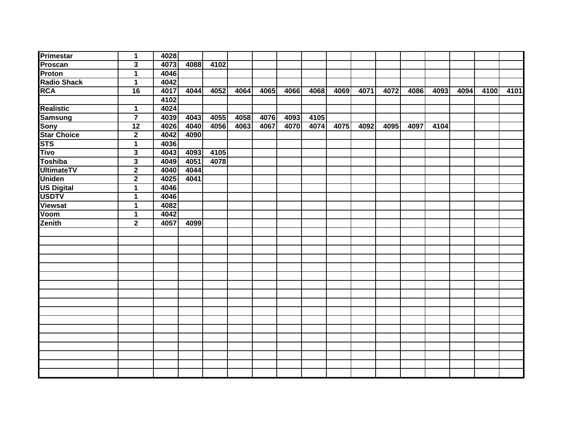| <b>Primestar</b>                         | $\mathbf 1$     | 4028 |                    |      |      |      |      |      |      |      |      |      |      |      |      |      |
|------------------------------------------|-----------------|------|--------------------|------|------|------|------|------|------|------|------|------|------|------|------|------|
| Proscan                                  | $\mathbf{3}$    | 4073 | 4088               | 4102 |      |      |      |      |      |      |      |      |      |      |      |      |
| <b>Proton</b>                            | 1               | 4046 |                    |      |      |      |      |      |      |      |      |      |      |      |      |      |
|                                          | $\mathbf 1$     | 4042 |                    |      |      |      |      |      |      |      |      |      |      |      |      |      |
| <b>Radio Shack</b><br>RCA                | 16              | 4017 | 4044               | 4052 | 4064 | 4065 | 4066 | 4068 | 4069 | 4071 | 4072 | 4086 | 4093 | 4094 | 4100 | 4101 |
|                                          |                 | 4102 |                    |      |      |      |      |      |      |      |      |      |      |      |      |      |
| <b>Realistic</b>                         | 1               | 4024 |                    |      |      |      |      |      |      |      |      |      |      |      |      |      |
|                                          | $\overline{7}$  | 4039 | 4043               | 4055 | 4058 | 4076 | 4093 | 4105 |      |      |      |      |      |      |      |      |
|                                          | $\overline{12}$ | 4026 | 4040               | 4056 | 4063 | 4067 | 4070 | 4074 | 4075 | 4092 | 4095 | 4097 | 4104 |      |      |      |
| Samsung<br>Samsung<br>Star Choice<br>STS | $\mathbf 2$     | 4042 | 4090               |      |      |      |      |      |      |      |      |      |      |      |      |      |
|                                          | $\mathbf{1}$    | 4036 |                    |      |      |      |      |      |      |      |      |      |      |      |      |      |
| <b>Tivo</b>                              | $\mathbf 3$     | 4043 | 4093               | 4105 |      |      |      |      |      |      |      |      |      |      |      |      |
| <b>Toshiba</b>                           | $\mathbf 3$     | 4049 | 4051               | 4078 |      |      |      |      |      |      |      |      |      |      |      |      |
| <b>UltimateTV</b>                        | $\mathbf{2}$    | 4040 | 4044               |      |      |      |      |      |      |      |      |      |      |      |      |      |
| <b>Uniden</b>                            | $\mathbf{2}$    | 4025 | $\overline{404}$ 1 |      |      |      |      |      |      |      |      |      |      |      |      |      |
| <b>US Digital</b>                        | $\mathbf 1$     | 4046 |                    |      |      |      |      |      |      |      |      |      |      |      |      |      |
| <b>USDTV</b>                             | $\mathbf 1$     | 4046 |                    |      |      |      |      |      |      |      |      |      |      |      |      |      |
| Viewsat                                  | $\mathbf{1}$    | 4082 |                    |      |      |      |      |      |      |      |      |      |      |      |      |      |
| Voom                                     | $\mathbf 1$     | 4042 |                    |      |      |      |      |      |      |      |      |      |      |      |      |      |
| Zenith                                   | $\mathbf{2}$    | 4057 | 4099               |      |      |      |      |      |      |      |      |      |      |      |      |      |
|                                          |                 |      |                    |      |      |      |      |      |      |      |      |      |      |      |      |      |
|                                          |                 |      |                    |      |      |      |      |      |      |      |      |      |      |      |      |      |
|                                          |                 |      |                    |      |      |      |      |      |      |      |      |      |      |      |      |      |
|                                          |                 |      |                    |      |      |      |      |      |      |      |      |      |      |      |      |      |
|                                          |                 |      |                    |      |      |      |      |      |      |      |      |      |      |      |      |      |
|                                          |                 |      |                    |      |      |      |      |      |      |      |      |      |      |      |      |      |
|                                          |                 |      |                    |      |      |      |      |      |      |      |      |      |      |      |      |      |
|                                          |                 |      |                    |      |      |      |      |      |      |      |      |      |      |      |      |      |
|                                          |                 |      |                    |      |      |      |      |      |      |      |      |      |      |      |      |      |
|                                          |                 |      |                    |      |      |      |      |      |      |      |      |      |      |      |      |      |
|                                          |                 |      |                    |      |      |      |      |      |      |      |      |      |      |      |      |      |
|                                          |                 |      |                    |      |      |      |      |      |      |      |      |      |      |      |      |      |
|                                          |                 |      |                    |      |      |      |      |      |      |      |      |      |      |      |      |      |
|                                          |                 |      |                    |      |      |      |      |      |      |      |      |      |      |      |      |      |
|                                          |                 |      |                    |      |      |      |      |      |      |      |      |      |      |      |      |      |
|                                          |                 |      |                    |      |      |      |      |      |      |      |      |      |      |      |      |      |
|                                          |                 |      |                    |      |      |      |      |      |      |      |      |      |      |      |      |      |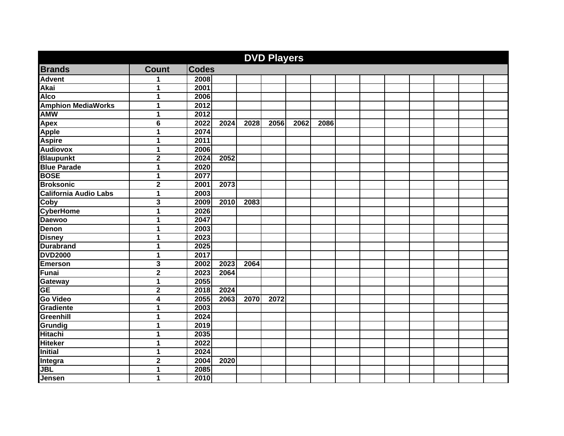|                              |                         |              |                  |      | <b>DVD Players</b> |      |      |  |  |  |  |
|------------------------------|-------------------------|--------------|------------------|------|--------------------|------|------|--|--|--|--|
| <b>Brands</b>                | <b>Count</b>            | <b>Codes</b> |                  |      |                    |      |      |  |  |  |  |
| <b>Advent</b>                | 1                       | 2008         |                  |      |                    |      |      |  |  |  |  |
| <b>Akai</b>                  | 1                       | 2001         |                  |      |                    |      |      |  |  |  |  |
| <b>Alco</b>                  | 1                       | 2006         |                  |      |                    |      |      |  |  |  |  |
| <b>Amphion MediaWorks</b>    | 1                       | 2012         |                  |      |                    |      |      |  |  |  |  |
| <b>AMW</b>                   | 1                       | 2012         |                  |      |                    |      |      |  |  |  |  |
| <b>Apex</b>                  | $\overline{6}$          | 2022         | 2024             | 2028 | 2056               | 2062 | 2086 |  |  |  |  |
| <b>Apple</b>                 | 1                       | 2074         |                  |      |                    |      |      |  |  |  |  |
| <b>Aspire</b>                | 1                       | 2011         |                  |      |                    |      |      |  |  |  |  |
| <b>Audiovox</b>              | 1                       | 2006         |                  |      |                    |      |      |  |  |  |  |
| <b>Blaupunkt</b>             | $\overline{\mathbf{2}}$ | 2024         | $\frac{1}{2052}$ |      |                    |      |      |  |  |  |  |
| <b>Blue Parade</b>           | 1                       | 2020         |                  |      |                    |      |      |  |  |  |  |
| <b>BOSE</b>                  | 1                       | 2077         |                  |      |                    |      |      |  |  |  |  |
| <b>Broksonic</b>             | $\mathbf 2$             | 2001         | 2073             |      |                    |      |      |  |  |  |  |
| <b>California Audio Labs</b> | $\mathbf{1}$            | 2003         |                  |      |                    |      |      |  |  |  |  |
| Coby                         | 3                       | 2009         | 2010             | 2083 |                    |      |      |  |  |  |  |
| <b>CyberHome</b>             | 1                       | 2026         |                  |      |                    |      |      |  |  |  |  |
| <b>Daewoo</b>                | 1                       | 2047         |                  |      |                    |      |      |  |  |  |  |
| Denon                        | 1                       | 2003         |                  |      |                    |      |      |  |  |  |  |
| <b>Disney</b>                | 1                       | 2023         |                  |      |                    |      |      |  |  |  |  |
| <b>Durabrand</b>             | 1                       | 2025         |                  |      |                    |      |      |  |  |  |  |
| <b>DVD2000</b>               | 1                       | 2017         |                  |      |                    |      |      |  |  |  |  |
| <b>Emerson</b>               | 3                       | 2002         | 2023             | 2064 |                    |      |      |  |  |  |  |
| <b>Funai</b>                 | $\overline{2}$          | 2023         | 2064             |      |                    |      |      |  |  |  |  |
| <b>Gateway</b>               | 1                       | 2055         |                  |      |                    |      |      |  |  |  |  |
| <b>GE</b>                    | $\overline{\mathbf{2}}$ | 2018         | 2024             |      |                    |      |      |  |  |  |  |
| <b>Go Video</b>              | 4                       | 2055         | 2063             | 2070 | 2072               |      |      |  |  |  |  |
| Gradiente                    | 1                       | 2003         |                  |      |                    |      |      |  |  |  |  |
| Greenhill                    | 1                       | 2024         |                  |      |                    |      |      |  |  |  |  |
| Grundig                      | 1                       | 2019         |                  |      |                    |      |      |  |  |  |  |
| <b>Hitachi</b>               | 1                       | 2035         |                  |      |                    |      |      |  |  |  |  |
| <b>Hiteker</b>               | 1                       | 2022         |                  |      |                    |      |      |  |  |  |  |
| <b>Initial</b>               | 1                       | 2024         |                  |      |                    |      |      |  |  |  |  |
| Integra                      | $\overline{\mathbf{2}}$ | 2004         | 2020             |      |                    |      |      |  |  |  |  |
| <b>JBL</b>                   | 1                       | 2085         |                  |      |                    |      |      |  |  |  |  |
| Jensen                       | 1                       | 2010         |                  |      |                    |      |      |  |  |  |  |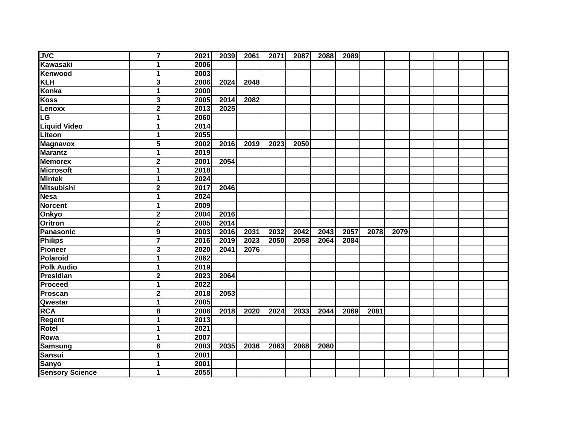| <b>JVC</b>             | $\overline{7}$          | 2021 | 2039 | 2061              | 2071 | 2087 | 2088 | 2089 |      |      |  |  |
|------------------------|-------------------------|------|------|-------------------|------|------|------|------|------|------|--|--|
| Kawasaki               | 1                       | 2006 |      |                   |      |      |      |      |      |      |  |  |
| Kenwood                | $\mathbf{1}$            | 2003 |      |                   |      |      |      |      |      |      |  |  |
| <b>KLH</b>             | 3                       | 2006 | 2024 | $\overline{2048}$ |      |      |      |      |      |      |  |  |
| <b>Konka</b>           | $\mathbf{1}$            | 2000 |      |                   |      |      |      |      |      |      |  |  |
| <b>Koss</b>            | 3                       | 2005 | 2014 | 2082              |      |      |      |      |      |      |  |  |
| Lenoxx                 | $\overline{\mathbf{2}}$ | 2013 | 2025 |                   |      |      |      |      |      |      |  |  |
| <b>I</b> CG            | $\mathbf{1}$            | 2060 |      |                   |      |      |      |      |      |      |  |  |
| <b>Liquid Video</b>    | $\mathbf{1}$            | 2014 |      |                   |      |      |      |      |      |      |  |  |
| Liteon                 | $\mathbf{1}$            | 2055 |      |                   |      |      |      |      |      |      |  |  |
| <b>Magnavox</b>        | 5                       | 2002 | 2016 | 2019              | 2023 | 2050 |      |      |      |      |  |  |
| <b>Marantz</b>         | $\mathbf{1}$            | 2019 |      |                   |      |      |      |      |      |      |  |  |
| <b>Memorex</b>         | $\overline{\mathbf{2}}$ | 2001 | 2054 |                   |      |      |      |      |      |      |  |  |
| <b>Microsoft</b>       | $\mathbf{1}$            | 2018 |      |                   |      |      |      |      |      |      |  |  |
| <b>Mintek</b>          | $\mathbf 1$             | 2024 |      |                   |      |      |      |      |      |      |  |  |
| <b>Mitsubishi</b>      | $\mathbf 2$             | 2017 | 2046 |                   |      |      |      |      |      |      |  |  |
| <b>Nesa</b>            | 1                       | 2024 |      |                   |      |      |      |      |      |      |  |  |
| <b>Norcent</b>         | 1                       | 2009 |      |                   |      |      |      |      |      |      |  |  |
| Onkyo                  | $\overline{\mathbf{2}}$ | 2004 | 2016 |                   |      |      |      |      |      |      |  |  |
| <b>Oritron</b>         | $\overline{\mathbf{2}}$ | 2005 | 2014 |                   |      |      |      |      |      |      |  |  |
| <b>Panasonic</b>       | 9                       | 2003 | 2016 | 2031              | 2032 | 2042 | 2043 | 2057 | 2078 | 2079 |  |  |
| <b>Philips</b>         | $\overline{7}$          | 2016 | 2019 | 2023              | 2050 | 2058 | 2064 | 2084 |      |      |  |  |
| <b>Pioneer</b>         | 3                       | 2020 | 2041 | 2076              |      |      |      |      |      |      |  |  |
| Polaroid               | $\mathbf{1}$            | 2062 |      |                   |      |      |      |      |      |      |  |  |
| <b>Polk Audio</b>      | $\mathbf{1}$            | 2019 |      |                   |      |      |      |      |      |      |  |  |
| <b>Presidian</b>       | $\overline{\mathbf{2}}$ | 2023 | 2064 |                   |      |      |      |      |      |      |  |  |
| Proceed                | $\mathbf{1}$            | 2022 |      |                   |      |      |      |      |      |      |  |  |
| Proscan                | $\overline{\mathbf{2}}$ | 2018 | 2053 |                   |      |      |      |      |      |      |  |  |
| Qwestar                | $\overline{1}$          | 2005 |      |                   |      |      |      |      |      |      |  |  |
| <b>RCA</b>             | 8                       | 2006 | 2018 | 2020              | 2024 | 2033 | 2044 | 2069 | 2081 |      |  |  |
| <b>Regent</b>          | $\overline{1}$          | 2013 |      |                   |      |      |      |      |      |      |  |  |
| Rotel                  | $\mathbf{1}$            | 2021 |      |                   |      |      |      |      |      |      |  |  |
| Rowa                   | $\mathbf{1}$            | 2007 |      |                   |      |      |      |      |      |      |  |  |
| <b>Samsung</b>         | 6                       | 2003 | 2035 | 2036              | 2063 | 2068 | 2080 |      |      |      |  |  |
| <b>Sansui</b>          | $\mathbf{1}$            | 2001 |      |                   |      |      |      |      |      |      |  |  |
| <b>Sanyo</b>           | $\mathbf{1}$            | 2001 |      |                   |      |      |      |      |      |      |  |  |
| <b>Sensory Science</b> | $\mathbf{1}$            | 2055 |      |                   |      |      |      |      |      |      |  |  |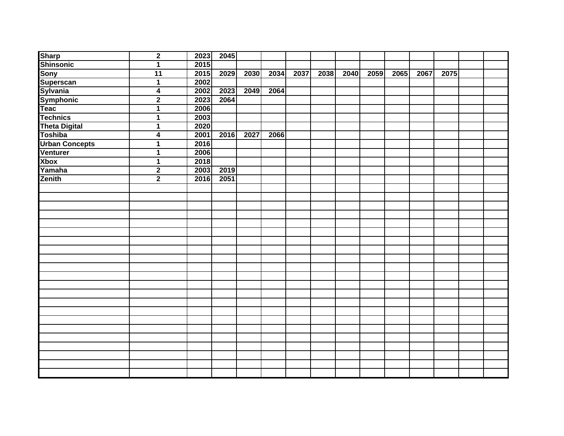|                                                                            | $\mathbf 2$             | 2023 | 2045 |      |      |      |  |                |      |      |      |  |
|----------------------------------------------------------------------------|-------------------------|------|------|------|------|------|--|----------------|------|------|------|--|
|                                                                            | $\overline{1}$          | 2015 |      |      |      |      |  |                |      |      |      |  |
|                                                                            | $\overline{11}$         | 2015 | 2029 | 2030 | 2034 | 2037 |  | 2038 2040 2059 | 2065 | 2067 | 2075 |  |
| Sharp<br>Shinsonic<br>Sony<br>Superscan<br>Sylvania<br>Symphonic<br>Teac   | $\overline{1}$          | 2002 |      |      |      |      |  |                |      |      |      |  |
|                                                                            | $\overline{\mathbf{4}}$ | 2002 | 2023 | 2049 | 2064 |      |  |                |      |      |      |  |
|                                                                            | $\overline{\mathbf{2}}$ | 2023 | 2064 |      |      |      |  |                |      |      |      |  |
|                                                                            | $\overline{1}$          | 2006 |      |      |      |      |  |                |      |      |      |  |
| <b>Technics</b>                                                            | $\overline{1}$          | 2003 |      |      |      |      |  |                |      |      |      |  |
|                                                                            | $\mathbf{1}$            | 2020 |      |      |      |      |  |                |      |      |      |  |
|                                                                            | $\overline{\mathbf{4}}$ | 2001 | 2016 | 2027 | 2066 |      |  |                |      |      |      |  |
|                                                                            | 1                       | 2016 |      |      |      |      |  |                |      |      |      |  |
|                                                                            | $\mathbf{1}$            | 2006 |      |      |      |      |  |                |      |      |      |  |
| Technics<br>Theta Digital<br>Toshiba<br>Urban Concepts<br>Venturer<br>Xbox | $\mathbf{1}$            | 2018 |      |      |      |      |  |                |      |      |      |  |
| Yamaha                                                                     | $\overline{2}$          | 2003 | 2019 |      |      |      |  |                |      |      |      |  |
| Zenith                                                                     | $\overline{2}$          | 2016 | 2051 |      |      |      |  |                |      |      |      |  |
|                                                                            |                         |      |      |      |      |      |  |                |      |      |      |  |
|                                                                            |                         |      |      |      |      |      |  |                |      |      |      |  |
|                                                                            |                         |      |      |      |      |      |  |                |      |      |      |  |
|                                                                            |                         |      |      |      |      |      |  |                |      |      |      |  |
|                                                                            |                         |      |      |      |      |      |  |                |      |      |      |  |
|                                                                            |                         |      |      |      |      |      |  |                |      |      |      |  |
|                                                                            |                         |      |      |      |      |      |  |                |      |      |      |  |
|                                                                            |                         |      |      |      |      |      |  |                |      |      |      |  |
|                                                                            |                         |      |      |      |      |      |  |                |      |      |      |  |
|                                                                            |                         |      |      |      |      |      |  |                |      |      |      |  |
|                                                                            |                         |      |      |      |      |      |  |                |      |      |      |  |
|                                                                            |                         |      |      |      |      |      |  |                |      |      |      |  |
|                                                                            |                         |      |      |      |      |      |  |                |      |      |      |  |
|                                                                            |                         |      |      |      |      |      |  |                |      |      |      |  |
|                                                                            |                         |      |      |      |      |      |  |                |      |      |      |  |
|                                                                            |                         |      |      |      |      |      |  |                |      |      |      |  |
|                                                                            |                         |      |      |      |      |      |  |                |      |      |      |  |
|                                                                            |                         |      |      |      |      |      |  |                |      |      |      |  |
|                                                                            |                         |      |      |      |      |      |  |                |      |      |      |  |
|                                                                            |                         |      |      |      |      |      |  |                |      |      |      |  |
|                                                                            |                         |      |      |      |      |      |  |                |      |      |      |  |
|                                                                            |                         |      |      |      |      |      |  |                |      |      |      |  |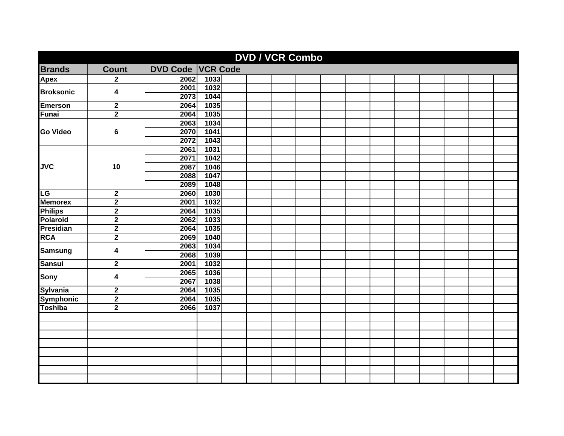|                  |                         |                          |      | <b>DVD / VCR Combo</b> |  |  |  |  |  |
|------------------|-------------------------|--------------------------|------|------------------------|--|--|--|--|--|
| <b>Brands</b>    | <b>Count</b>            | <b>DVD Code VCR Code</b> |      |                        |  |  |  |  |  |
| <b>Apex</b>      | $\mathbf{2}$            | 2062                     | 1033 |                        |  |  |  |  |  |
|                  |                         | 2001                     | 1032 |                        |  |  |  |  |  |
| <b>Broksonic</b> | 4                       | 2073                     | 1044 |                        |  |  |  |  |  |
| <b>Emerson</b>   | $\mathbf{2}$            | 2064                     | 1035 |                        |  |  |  |  |  |
| Funai            | $\overline{2}$          | 2064                     | 1035 |                        |  |  |  |  |  |
|                  |                         | 2063                     | 1034 |                        |  |  |  |  |  |
| <b>Go Video</b>  | 6                       | 2070                     | 1041 |                        |  |  |  |  |  |
|                  |                         | 2072                     | 1043 |                        |  |  |  |  |  |
|                  |                         | 2061                     | 1031 |                        |  |  |  |  |  |
|                  |                         | 2071                     | 1042 |                        |  |  |  |  |  |
| <b>JVC</b>       | 10                      | 2087                     | 1046 |                        |  |  |  |  |  |
|                  |                         | 2088                     | 1047 |                        |  |  |  |  |  |
|                  |                         | 2089                     | 1048 |                        |  |  |  |  |  |
| LG               | $\mathbf 2$             | 2060                     | 1030 |                        |  |  |  |  |  |
| <b>Memorex</b>   | $\overline{\mathbf{2}}$ | 2001                     | 1032 |                        |  |  |  |  |  |
| <b>Philips</b>   | $\overline{2}$          | 2064                     | 1035 |                        |  |  |  |  |  |
| <b>Polaroid</b>  | $\overline{2}$          | 2062                     | 1033 |                        |  |  |  |  |  |
| <b>Presidian</b> | $\overline{2}$          | 2064                     | 1035 |                        |  |  |  |  |  |
| <b>RCA</b>       | $\overline{2}$          | 2069                     | 1040 |                        |  |  |  |  |  |
| <b>Samsung</b>   | 4                       | 2063                     | 1034 |                        |  |  |  |  |  |
|                  |                         | 2068                     | 1039 |                        |  |  |  |  |  |
| <b>Sansui</b>    | $\mathbf 2$             | 2001                     | 1032 |                        |  |  |  |  |  |
| Sony             | 4                       | 2065                     | 1036 |                        |  |  |  |  |  |
|                  |                         | 2067                     | 1038 |                        |  |  |  |  |  |
| <b>Sylvania</b>  | $\mathbf 2$             | 2064                     | 1035 |                        |  |  |  |  |  |
| Symphonic        | $\overline{2}$          | 2064                     | 1035 |                        |  |  |  |  |  |
| <b>Toshiba</b>   | $\overline{2}$          | 2066                     | 1037 |                        |  |  |  |  |  |
|                  |                         |                          |      |                        |  |  |  |  |  |
|                  |                         |                          |      |                        |  |  |  |  |  |
|                  |                         |                          |      |                        |  |  |  |  |  |
|                  |                         |                          |      |                        |  |  |  |  |  |
|                  |                         |                          |      |                        |  |  |  |  |  |
|                  |                         |                          |      |                        |  |  |  |  |  |
|                  |                         |                          |      |                        |  |  |  |  |  |
|                  |                         |                          |      |                        |  |  |  |  |  |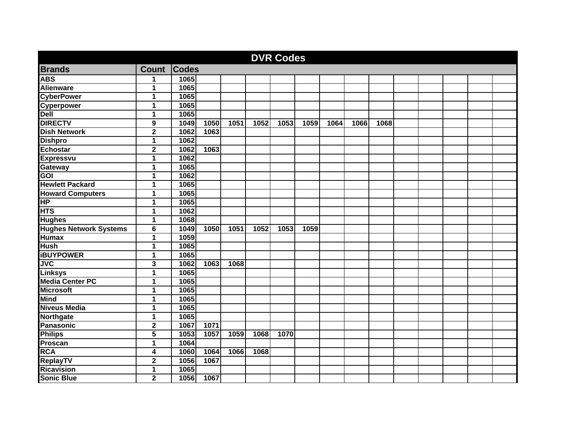|                                                                              |                         |              |      |      |      | <b>DVR Codes</b> |      |      |      |      |  |  |  |
|------------------------------------------------------------------------------|-------------------------|--------------|------|------|------|------------------|------|------|------|------|--|--|--|
| <b>Brands</b>                                                                | <b>Count</b>            | <b>Codes</b> |      |      |      |                  |      |      |      |      |  |  |  |
| <b>ABS</b>                                                                   | 1                       | 1065         |      |      |      |                  |      |      |      |      |  |  |  |
| <b>Alienware</b>                                                             | 1                       | 1065         |      |      |      |                  |      |      |      |      |  |  |  |
| <b>CyberPower</b>                                                            | 1                       | 1065         |      |      |      |                  |      |      |      |      |  |  |  |
|                                                                              | 1                       | 1065         |      |      |      |                  |      |      |      |      |  |  |  |
| Cyperpower<br>Dell                                                           | 1                       | 1065         |      |      |      |                  |      |      |      |      |  |  |  |
| <b>DIRECTV</b>                                                               | $\overline{\mathbf{9}}$ | 1049         | 1050 | 1051 | 1052 | 1053             | 1059 | 1064 | 1066 | 1068 |  |  |  |
| <b>Dish Network</b>                                                          | $\overline{\mathbf{2}}$ | 1062         | 1063 |      |      |                  |      |      |      |      |  |  |  |
| <b>Dishpro</b>                                                               | 1                       | 1062         |      |      |      |                  |      |      |      |      |  |  |  |
| <b>Echostar</b>                                                              | 2                       | 1062         | 1063 |      |      |                  |      |      |      |      |  |  |  |
| <b>Expressvu</b>                                                             | 1                       | 1062         |      |      |      |                  |      |      |      |      |  |  |  |
|                                                                              | 1                       | 1065         |      |      |      |                  |      |      |      |      |  |  |  |
| Gateway<br>GOI                                                               | 1                       | 1062         |      |      |      |                  |      |      |      |      |  |  |  |
| <b>Hewlett Packard</b>                                                       | 1                       | 1065         |      |      |      |                  |      |      |      |      |  |  |  |
| <b>Howard Computers</b><br>HP                                                | 1                       | 1065         |      |      |      |                  |      |      |      |      |  |  |  |
|                                                                              | 1                       | 1065         |      |      |      |                  |      |      |      |      |  |  |  |
| <b>HTS</b>                                                                   | 1                       | 1062         |      |      |      |                  |      |      |      |      |  |  |  |
|                                                                              | 1                       | 1068         |      |      |      |                  |      |      |      |      |  |  |  |
|                                                                              | $\overline{\mathbf{6}}$ | 1049         | 1050 | 1051 | 1052 | 1053             | 1059 |      |      |      |  |  |  |
| Hughes<br>Hughes Network Systems<br>Humax                                    | $\overline{1}$          | 1059         |      |      |      |                  |      |      |      |      |  |  |  |
| <b>Hush</b>                                                                  | 1                       | 1065         |      |      |      |                  |      |      |      |      |  |  |  |
|                                                                              | 1                       | 1065         |      |      |      |                  |      |      |      |      |  |  |  |
|                                                                              | 3                       | 1062         | 1063 | 1068 |      |                  |      |      |      |      |  |  |  |
|                                                                              | $\overline{1}$          | 1065         |      |      |      |                  |      |      |      |      |  |  |  |
|                                                                              | 1                       | 1065         |      |      |      |                  |      |      |      |      |  |  |  |
| <b>HUSH</b><br>JVC<br>JVC<br>Linksys<br>Media Center PC<br>Microsoft<br>Mind | 1                       | 1065         |      |      |      |                  |      |      |      |      |  |  |  |
|                                                                              | 1                       | 1065         |      |      |      |                  |      |      |      |      |  |  |  |
| Niniu<br>Niveus Media<br>Northgate<br>Panasonic<br>Philips                   | 1                       | 1065         |      |      |      |                  |      |      |      |      |  |  |  |
|                                                                              | 1                       | 1065         |      |      |      |                  |      |      |      |      |  |  |  |
|                                                                              | $\overline{2}$          | 1067         | 1071 |      |      |                  |      |      |      |      |  |  |  |
|                                                                              | 5                       | 1053         | 1057 | 1059 | 1068 | 1070             |      |      |      |      |  |  |  |
| Proscan                                                                      | 1                       | 1064         |      |      |      |                  |      |      |      |      |  |  |  |
| <b>RCA</b>                                                                   | 4                       | 1060         | 1064 | 1066 | 1068 |                  |      |      |      |      |  |  |  |
| ReplayTV<br>Ricavision                                                       | $\overline{\mathbf{2}}$ | 1056         | 1067 |      |      |                  |      |      |      |      |  |  |  |
|                                                                              | 1                       | 1065         |      |      |      |                  |      |      |      |      |  |  |  |
| <b>Sonic Blue</b>                                                            | $\overline{\mathbf{2}}$ | 1056         | 1067 |      |      |                  |      |      |      |      |  |  |  |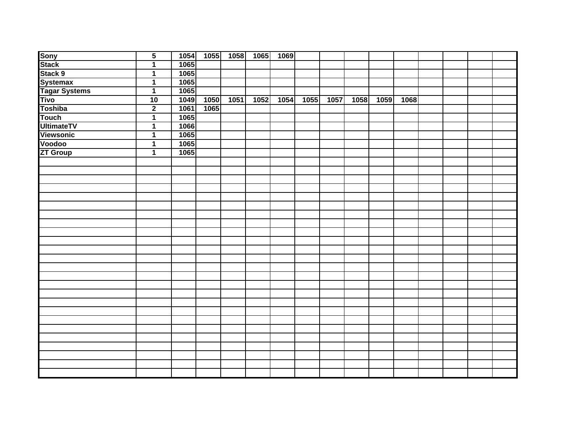| <b>Sony</b>          | $\overline{5}$          | 1054 |      | $\boxed{1055}$ 1058 | 1065 | 1069           |      |      |      |      |      |  |  |
|----------------------|-------------------------|------|------|---------------------|------|----------------|------|------|------|------|------|--|--|
| <b>Stack</b>         | $\overline{1}$          | 1065 |      |                     |      |                |      |      |      |      |      |  |  |
| Stack 9              | $\overline{1}$          | 1065 |      |                     |      |                |      |      |      |      |      |  |  |
| <b>Systemax</b>      | $\overline{1}$          | 1065 |      |                     |      |                |      |      |      |      |      |  |  |
| <b>Tagar Systems</b> | $\overline{1}$          | 1065 |      |                     |      |                |      |      |      |      |      |  |  |
| <b>Tivo</b>          | 10                      | 1049 | 1050 | 1051                | 1052 | $\boxed{1054}$ | 1055 | 1057 | 1058 | 1059 | 1068 |  |  |
| Toshiba              | $\overline{\mathbf{2}}$ | 1061 | 1065 |                     |      |                |      |      |      |      |      |  |  |
| <b>Touch</b>         | $\overline{\mathbf{1}}$ | 1065 |      |                     |      |                |      |      |      |      |      |  |  |
| <b>UltimateTV</b>    | $\overline{1}$          | 1066 |      |                     |      |                |      |      |      |      |      |  |  |
| <b>Viewsonic</b>     | $\overline{1}$          | 1065 |      |                     |      |                |      |      |      |      |      |  |  |
| Voodoo               | $\overline{1}$          | 1065 |      |                     |      |                |      |      |      |      |      |  |  |
| <b>ZT Group</b>      | $\overline{1}$          | 1065 |      |                     |      |                |      |      |      |      |      |  |  |
|                      |                         |      |      |                     |      |                |      |      |      |      |      |  |  |
|                      |                         |      |      |                     |      |                |      |      |      |      |      |  |  |
|                      |                         |      |      |                     |      |                |      |      |      |      |      |  |  |
|                      |                         |      |      |                     |      |                |      |      |      |      |      |  |  |
|                      |                         |      |      |                     |      |                |      |      |      |      |      |  |  |
|                      |                         |      |      |                     |      |                |      |      |      |      |      |  |  |
|                      |                         |      |      |                     |      |                |      |      |      |      |      |  |  |
|                      |                         |      |      |                     |      |                |      |      |      |      |      |  |  |
|                      |                         |      |      |                     |      |                |      |      |      |      |      |  |  |
|                      |                         |      |      |                     |      |                |      |      |      |      |      |  |  |
|                      |                         |      |      |                     |      |                |      |      |      |      |      |  |  |
|                      |                         |      |      |                     |      |                |      |      |      |      |      |  |  |
|                      |                         |      |      |                     |      |                |      |      |      |      |      |  |  |
|                      |                         |      |      |                     |      |                |      |      |      |      |      |  |  |
|                      |                         |      |      |                     |      |                |      |      |      |      |      |  |  |
|                      |                         |      |      |                     |      |                |      |      |      |      |      |  |  |
|                      |                         |      |      |                     |      |                |      |      |      |      |      |  |  |
|                      |                         |      |      |                     |      |                |      |      |      |      |      |  |  |
|                      |                         |      |      |                     |      |                |      |      |      |      |      |  |  |
|                      |                         |      |      |                     |      |                |      |      |      |      |      |  |  |
|                      |                         |      |      |                     |      |                |      |      |      |      |      |  |  |
|                      |                         |      |      |                     |      |                |      |      |      |      |      |  |  |
|                      |                         |      |      |                     |      |                |      |      |      |      |      |  |  |
|                      |                         |      |      |                     |      |                |      |      |      |      |      |  |  |
|                      |                         |      |      |                     |      |                |      |      |      |      |      |  |  |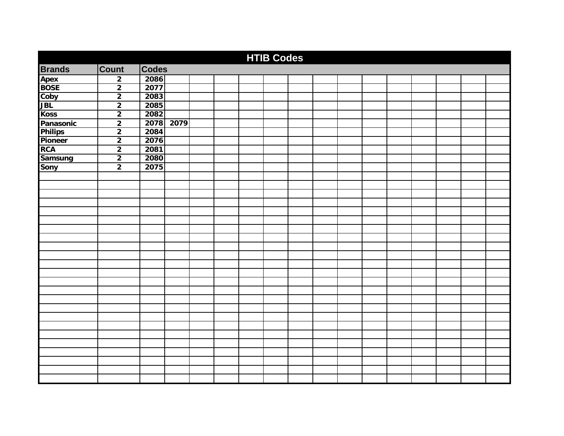|                |                         |              |      |  | <b>HTIB Codes</b> |  |  |  |  |  |
|----------------|-------------------------|--------------|------|--|-------------------|--|--|--|--|--|
| <b>Brands</b>  | Count                   | <b>Codes</b> |      |  |                   |  |  |  |  |  |
| Apex<br>BOSE   | $\overline{2}$          | 2086         |      |  |                   |  |  |  |  |  |
|                | $\overline{\mathbf{2}}$ | 2077         |      |  |                   |  |  |  |  |  |
| Coby           | $\overline{2}$          | 2083         |      |  |                   |  |  |  |  |  |
| <b>JBL</b>     | $\overline{2}$          | 2085         |      |  |                   |  |  |  |  |  |
| <b>Koss</b>    | $\overline{2}$          | 2082         |      |  |                   |  |  |  |  |  |
| Panasonic      | $\mathbf{2}$            | 2078         | 2079 |  |                   |  |  |  |  |  |
| <b>Philips</b> | $\overline{2}$          | 2084         |      |  |                   |  |  |  |  |  |
| Pioneer        | $\overline{2}$          | 2076         |      |  |                   |  |  |  |  |  |
| <b>RCA</b>     | $\overline{2}$          | 2081         |      |  |                   |  |  |  |  |  |
| Samsung        | $\overline{2}$          | 2080         |      |  |                   |  |  |  |  |  |
| <b>Sony</b>    | $\overline{2}$          | 2075         |      |  |                   |  |  |  |  |  |
|                |                         |              |      |  |                   |  |  |  |  |  |
|                |                         |              |      |  |                   |  |  |  |  |  |
|                |                         |              |      |  |                   |  |  |  |  |  |
|                |                         |              |      |  |                   |  |  |  |  |  |
|                |                         |              |      |  |                   |  |  |  |  |  |
|                |                         |              |      |  |                   |  |  |  |  |  |
|                |                         |              |      |  |                   |  |  |  |  |  |
|                |                         |              |      |  |                   |  |  |  |  |  |
|                |                         |              |      |  |                   |  |  |  |  |  |
|                |                         |              |      |  |                   |  |  |  |  |  |
|                |                         |              |      |  |                   |  |  |  |  |  |
|                |                         |              |      |  |                   |  |  |  |  |  |
|                |                         |              |      |  |                   |  |  |  |  |  |
|                |                         |              |      |  |                   |  |  |  |  |  |
|                |                         |              |      |  |                   |  |  |  |  |  |
|                |                         |              |      |  |                   |  |  |  |  |  |
|                |                         |              |      |  |                   |  |  |  |  |  |
|                |                         |              |      |  |                   |  |  |  |  |  |
|                |                         |              |      |  |                   |  |  |  |  |  |
|                |                         |              |      |  |                   |  |  |  |  |  |
|                |                         |              |      |  |                   |  |  |  |  |  |
|                |                         |              |      |  |                   |  |  |  |  |  |
|                |                         |              |      |  |                   |  |  |  |  |  |
|                |                         |              |      |  |                   |  |  |  |  |  |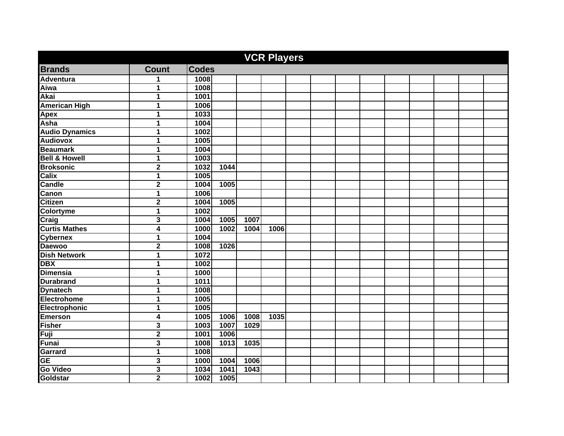| <b>VCR Players</b>       |                         |                  |      |      |      |  |  |  |  |  |  |  |  |
|--------------------------|-------------------------|------------------|------|------|------|--|--|--|--|--|--|--|--|
| <b>Brands</b>            | <b>Count</b>            | <b>Codes</b>     |      |      |      |  |  |  |  |  |  |  |  |
| <b>Adventura</b>         | 1                       | 1008             |      |      |      |  |  |  |  |  |  |  |  |
| Aiwa                     | 1                       | 1008             |      |      |      |  |  |  |  |  |  |  |  |
| <b>Akai</b>              | 1                       | 1001             |      |      |      |  |  |  |  |  |  |  |  |
| <b>American High</b>     | 1                       | 1006             |      |      |      |  |  |  |  |  |  |  |  |
| Apex                     | 1                       | 1033             |      |      |      |  |  |  |  |  |  |  |  |
| Asha                     | 1                       | 1004             |      |      |      |  |  |  |  |  |  |  |  |
| <b>Audio Dynamics</b>    | 1                       | 1002             |      |      |      |  |  |  |  |  |  |  |  |
| <b>Audiovox</b>          | 1                       | 1005             |      |      |      |  |  |  |  |  |  |  |  |
| <b>Beaumark</b>          | 1                       | 1004             |      |      |      |  |  |  |  |  |  |  |  |
| <b>Bell &amp; Howell</b> | 1                       | 1003             |      |      |      |  |  |  |  |  |  |  |  |
| <b>Broksonic</b>         | $\mathbf 2$             | 1032             | 1044 |      |      |  |  |  |  |  |  |  |  |
| <b>Calix</b>             | 1                       | 1005             |      |      |      |  |  |  |  |  |  |  |  |
| <b>Candle</b>            | $\overline{\mathbf{2}}$ | 1004             | 1005 |      |      |  |  |  |  |  |  |  |  |
| Canon                    | 1                       | 1006             |      |      |      |  |  |  |  |  |  |  |  |
| <b>Citizen</b>           | $\mathbf 2$             | 1004             | 1005 |      |      |  |  |  |  |  |  |  |  |
| <b>Colortyme</b>         | $\mathbf{1}$            | 1002             |      |      |      |  |  |  |  |  |  |  |  |
| Craig                    | 3                       | 1004             | 1005 | 1007 |      |  |  |  |  |  |  |  |  |
| <b>Curtis Mathes</b>     | $\overline{4}$          | 1000             | 1002 | 1004 | 1006 |  |  |  |  |  |  |  |  |
| <b>Cybernex</b>          | 1                       | 1004             |      |      |      |  |  |  |  |  |  |  |  |
| <b>Daewoo</b>            | $\overline{\mathbf{2}}$ | 1008             | 1026 |      |      |  |  |  |  |  |  |  |  |
| <b>Dish Network</b>      | 1                       | 1072             |      |      |      |  |  |  |  |  |  |  |  |
| <b>DBX</b>               | 1                       | 1002             |      |      |      |  |  |  |  |  |  |  |  |
| <b>Dimensia</b>          | 1                       | 1000             |      |      |      |  |  |  |  |  |  |  |  |
| <b>Durabrand</b>         | 1                       | 1011             |      |      |      |  |  |  |  |  |  |  |  |
| <b>Dynatech</b>          | 1                       | 1008             |      |      |      |  |  |  |  |  |  |  |  |
| Electrohome              | 1                       | 1005             |      |      |      |  |  |  |  |  |  |  |  |
| Electrophonic            | 1                       | 1005             |      |      |      |  |  |  |  |  |  |  |  |
| <b>Emerson</b>           | 4                       | 1005             | 1006 | 1008 | 1035 |  |  |  |  |  |  |  |  |
| <b>Fisher</b>            | $\overline{\mathbf{3}}$ | 1003             | 1007 | 1029 |      |  |  |  |  |  |  |  |  |
| Fuji                     | $\overline{\mathbf{2}}$ | 1001             | 1006 |      |      |  |  |  |  |  |  |  |  |
| <b>Funai</b>             | 3                       | 1008             | 1013 | 1035 |      |  |  |  |  |  |  |  |  |
| Garrard                  | $\overline{1}$          | 1008             |      |      |      |  |  |  |  |  |  |  |  |
| <b>GE</b>                | 3                       | 1000             | 1004 | 1006 |      |  |  |  |  |  |  |  |  |
| <b>Go Video</b>          | 3                       | 1034             | 1041 | 1043 |      |  |  |  |  |  |  |  |  |
| Goldstar                 | $\overline{2}$          | $\frac{1}{1002}$ | 1005 |      |      |  |  |  |  |  |  |  |  |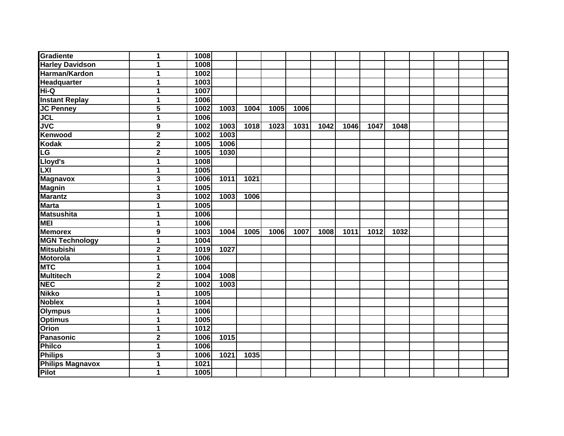| Gradiente                | 1                       | 1008 |      |      |      |      |      |      |      |      |  |  |
|--------------------------|-------------------------|------|------|------|------|------|------|------|------|------|--|--|
| <b>Harley Davidson</b>   | 1                       | 1008 |      |      |      |      |      |      |      |      |  |  |
| Harman/Kardon            | $\overline{1}$          | 1002 |      |      |      |      |      |      |      |      |  |  |
| Headquarter              | 1                       | 1003 |      |      |      |      |      |      |      |      |  |  |
| Hi-Q                     | 1                       | 1007 |      |      |      |      |      |      |      |      |  |  |
| <b>Instant Replay</b>    | $\mathbf{1}$            | 1006 |      |      |      |      |      |      |      |      |  |  |
| <b>JC Penney</b>         | 5                       | 1002 | 1003 | 1004 | 1005 | 1006 |      |      |      |      |  |  |
| <b>JCL</b>               | 1                       | 1006 |      |      |      |      |      |      |      |      |  |  |
| <b>JVC</b>               | 9                       | 1002 | 1003 | 1018 | 1023 | 1031 | 1042 | 1046 | 1047 | 1048 |  |  |
| <b>Kenwood</b>           | $\mathbf 2$             | 1002 | 1003 |      |      |      |      |      |      |      |  |  |
| <b>Kodak</b>             | $\mathbf 2$             | 1005 | 1006 |      |      |      |      |      |      |      |  |  |
| $\overline{\textsf{LG}}$ | $\overline{\mathbf{2}}$ | 1005 | 1030 |      |      |      |      |      |      |      |  |  |
| Lloyd's                  | $\mathbf{1}$            | 1008 |      |      |      |      |      |      |      |      |  |  |
| LXI                      | 1                       | 1005 |      |      |      |      |      |      |      |      |  |  |
| <b>Magnavox</b>          | 3                       | 1006 | 1011 | 1021 |      |      |      |      |      |      |  |  |
| <b>Magnin</b>            | $\mathbf{1}$            | 1005 |      |      |      |      |      |      |      |      |  |  |
| <b>Marantz</b>           | 3                       | 1002 | 1003 | 1006 |      |      |      |      |      |      |  |  |
| <b>Marta</b>             | $\mathbf{1}$            | 1005 |      |      |      |      |      |      |      |      |  |  |
| <b>Matsushita</b>        | 1                       | 1006 |      |      |      |      |      |      |      |      |  |  |
| <b>MEI</b>               | 1                       | 1006 |      |      |      |      |      |      |      |      |  |  |
| <b>Memorex</b>           | 9                       | 1003 | 1004 | 1005 | 1006 | 1007 | 1008 | 1011 | 1012 | 1032 |  |  |
| <b>MGN Technology</b>    | 1                       | 1004 |      |      |      |      |      |      |      |      |  |  |
| <b>Mitsubishi</b>        | $\mathbf 2$             | 1019 | 1027 |      |      |      |      |      |      |      |  |  |
| <b>Motorola</b>          | 1                       | 1006 |      |      |      |      |      |      |      |      |  |  |
| <b>MTC</b>               | 1                       | 1004 |      |      |      |      |      |      |      |      |  |  |
| <b>Multitech</b>         | $\overline{\mathbf{2}}$ | 1004 | 1008 |      |      |      |      |      |      |      |  |  |
| <b>NEC</b>               | $\overline{2}$          | 1002 | 1003 |      |      |      |      |      |      |      |  |  |
| <b>Nikko</b>             | $\mathbf{1}$            | 1005 |      |      |      |      |      |      |      |      |  |  |
| <b>Noblex</b>            | 1                       | 1004 |      |      |      |      |      |      |      |      |  |  |
| <b>Olympus</b>           | 1                       | 1006 |      |      |      |      |      |      |      |      |  |  |
| <b>Optimus</b>           | 1                       | 1005 |      |      |      |      |      |      |      |      |  |  |
| <b>Orion</b>             | 1                       | 1012 |      |      |      |      |      |      |      |      |  |  |
| Panasonic                | $\overline{2}$          | 1006 | 1015 |      |      |      |      |      |      |      |  |  |
| Philco                   | 1                       | 1006 |      |      |      |      |      |      |      |      |  |  |
| <b>Philips</b>           | 3                       | 1006 | 1021 | 1035 |      |      |      |      |      |      |  |  |
| <b>Philips Magnavox</b>  | $\mathbf{1}$            | 1021 |      |      |      |      |      |      |      |      |  |  |
| Pilot                    | 1                       | 1005 |      |      |      |      |      |      |      |      |  |  |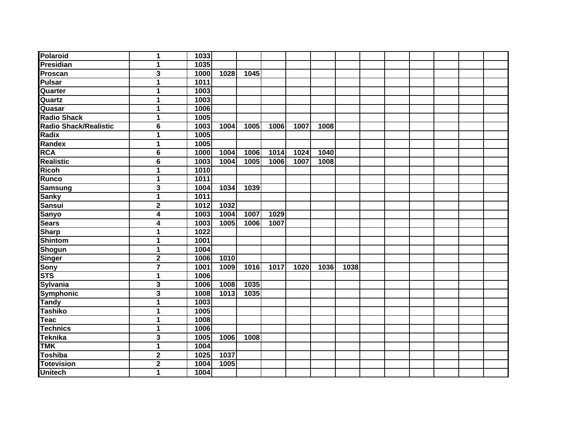| <b>Polaroid</b>       | $\mathbf{1}$            | 1033   |      |      |      |      |      |      |  |  |  |
|-----------------------|-------------------------|--------|------|------|------|------|------|------|--|--|--|
| Presidian             | $\mathbf{1}$            | 1035   |      |      |      |      |      |      |  |  |  |
| Proscan               | 3                       | 1000   | 1028 | 1045 |      |      |      |      |  |  |  |
| Pulsar                | $\mathbf{1}$            | 1011   |      |      |      |      |      |      |  |  |  |
| Quarter               | $\overline{1}$          | 1003   |      |      |      |      |      |      |  |  |  |
| Quartz                | $\mathbf{1}$            | 1003   |      |      |      |      |      |      |  |  |  |
| Quasar                | $\mathbf 1$             | 1006   |      |      |      |      |      |      |  |  |  |
| <b>Radio Shack</b>    | $\mathbf{1}$            | 1005   |      |      |      |      |      |      |  |  |  |
| Radio Shack/Realistic | 6                       | 1003   | 1004 | 1005 | 1006 | 1007 | 1008 |      |  |  |  |
| Radix                 | $\mathbf{1}$            | 1005   |      |      |      |      |      |      |  |  |  |
| Randex                | $\mathbf{1}$            | 1005   |      |      |      |      |      |      |  |  |  |
| <b>RCA</b>            | 6                       | 1000   | 1004 | 1006 | 1014 | 1024 | 1040 |      |  |  |  |
| <b>Realistic</b>      | 6                       | 1003   | 1004 | 1005 | 1006 | 1007 | 1008 |      |  |  |  |
| Ricoh                 | $\mathbf{1}$            | 1010   |      |      |      |      |      |      |  |  |  |
| Runco                 | $\mathbf{1}$            | 1011   |      |      |      |      |      |      |  |  |  |
| <b>Samsung</b>        | 3                       | 1004   | 1034 | 1039 |      |      |      |      |  |  |  |
| <b>Sanky</b>          | $\overline{1}$          | $1011$ |      |      |      |      |      |      |  |  |  |
| <b>Sansui</b>         | $\overline{\mathbf{2}}$ | 1012   | 1032 |      |      |      |      |      |  |  |  |
| <b>Sanyo</b>          | 4                       | 1003   | 1004 | 1007 | 1029 |      |      |      |  |  |  |
| <b>Sears</b>          | 4                       | 1003   | 1005 | 1006 | 1007 |      |      |      |  |  |  |
| <b>Sharp</b>          | $\mathbf{1}$            | 1022   |      |      |      |      |      |      |  |  |  |
| <b>Shintom</b>        | $\mathbf{1}$            | 1001   |      |      |      |      |      |      |  |  |  |
| <b>Shogun</b>         | $\mathbf{1}$            | 1004   |      |      |      |      |      |      |  |  |  |
| Singer                | $\overline{\mathbf{2}}$ | 1006   | 1010 |      |      |      |      |      |  |  |  |
| Sony                  | $\overline{7}$          | 1001   | 1009 | 1016 | 1017 | 1020 | 1036 | 1038 |  |  |  |
| <b>STS</b>            | $\mathbf{1}$            | 1006   |      |      |      |      |      |      |  |  |  |
| <b>Sylvania</b>       | 3                       | 1006   | 1008 | 1035 |      |      |      |      |  |  |  |
| Symphonic             | 3                       | 1008   | 1013 | 1035 |      |      |      |      |  |  |  |
| Tandy                 | $\overline{1}$          | 1003   |      |      |      |      |      |      |  |  |  |
| <b>Tashiko</b>        | $\overline{1}$          | 1005   |      |      |      |      |      |      |  |  |  |
| Teac                  | $\mathbf{1}$            | 1008   |      |      |      |      |      |      |  |  |  |
| <b>Technics</b>       | $\mathbf 1$             | 1006   |      |      |      |      |      |      |  |  |  |
| <b>Teknika</b>        | $\overline{\mathbf{3}}$ | 1005   | 1006 | 1008 |      |      |      |      |  |  |  |
| <b>TMK</b>            | $\mathbf{1}$            | 1004   |      |      |      |      |      |      |  |  |  |
| <b>Toshiba</b>        | $\mathbf 2$             | 1025   | 1037 |      |      |      |      |      |  |  |  |
| <b>Totevision</b>     | $\mathbf 2$             | 1004   | 1005 |      |      |      |      |      |  |  |  |
| <b>Unitech</b>        | $\mathbf{1}$            | 1004   |      |      |      |      |      |      |  |  |  |